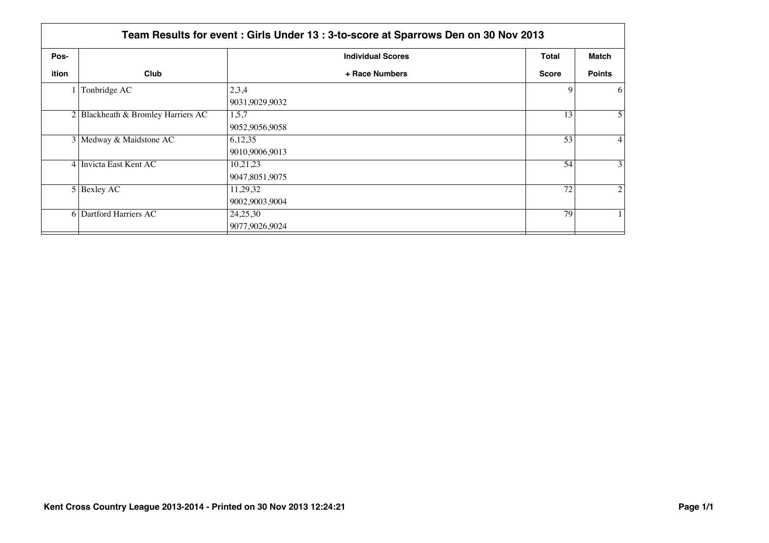|       | Team Results for event: Girls Under 13: 3-to-score at Sparrows Den on 30 Nov 2013 |                            |              |                 |  |
|-------|-----------------------------------------------------------------------------------|----------------------------|--------------|-----------------|--|
| Pos-  |                                                                                   | <b>Individual Scores</b>   | Total        | Match           |  |
| ition | Club                                                                              | + Race Numbers             | <b>Score</b> | <b>Points</b>   |  |
|       | Tonbridge AC                                                                      | 2,3,4<br>9031,9029,9032    | 9            | 6               |  |
|       | 2 Blackheath & Bromley Harriers AC                                                | 1.5.7<br>9052,9056,9058    | 13           | 5 <sup>1</sup>  |  |
|       | 3 Medway & Maidstone AC                                                           | 6,12,35<br>9010,9006,9013  | 53           | $\vert 4 \vert$ |  |
|       | 4 Invicta East Kent AC                                                            | 10,21,23<br>9047,8051,9075 | 54           | 3 <sup>1</sup>  |  |
|       | $5$ Bexley AC                                                                     | 11,29,32<br>9002,9003,9004 | 72           | $\overline{2}$  |  |
|       | 6 Dartford Harriers AC                                                            | 24,25,30<br>9077,9026,9024 | 79           |                 |  |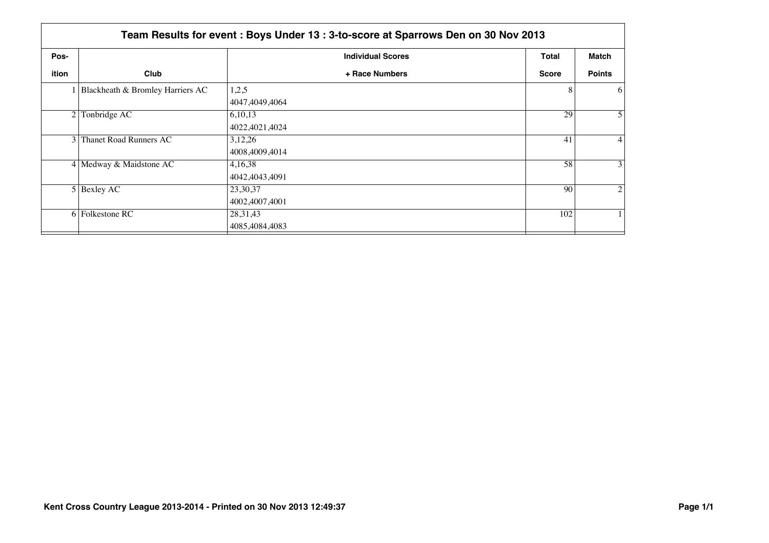|                | Team Results for event: Boys Under 13: 3-to-score at Sparrows Den on 30 Nov 2013 |                              |              |                 |  |
|----------------|----------------------------------------------------------------------------------|------------------------------|--------------|-----------------|--|
| Pos-           |                                                                                  | <b>Individual Scores</b>     | <b>Total</b> | Match           |  |
| ition          | Club                                                                             | + Race Numbers               | <b>Score</b> | <b>Points</b>   |  |
|                | 1 Blackheath & Bromley Harriers AC                                               | 1,2,5<br>4047,4049,4064      | 8            | 6               |  |
| 2 <sub>1</sub> | Tonbridge AC                                                                     | 6,10,13<br>4022,4021,4024    | 29           | $\overline{5}$  |  |
|                | 3 Thanet Road Runners AC                                                         | 3,12,26<br>4008,4009,4014    | 41           | $\vert 4 \vert$ |  |
|                | 4 Medway & Maidstone AC                                                          | 4,16,38<br>4042,4043,4091    | 58           | 3 <sup>1</sup>  |  |
|                | $5$ Bexley AC                                                                    | 23,30,37<br>4002,4007,4001   | 90           | $\overline{2}$  |  |
|                | 6 Folkestone RC                                                                  | 28, 31, 43<br>4085,4084,4083 | 102          |                 |  |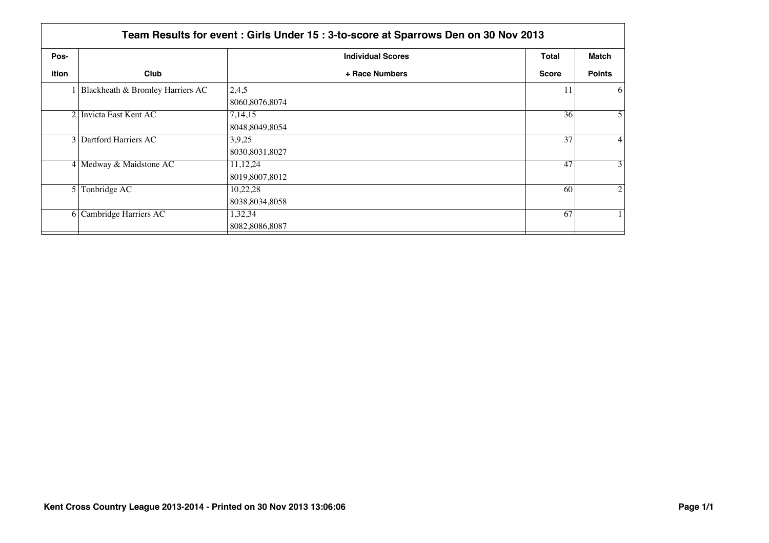|                | Team Results for event: Girls Under 15: 3-to-score at Sparrows Den on 30 Nov 2013 |                              |              |                 |  |
|----------------|-----------------------------------------------------------------------------------|------------------------------|--------------|-----------------|--|
| Pos-           |                                                                                   | <b>Individual Scores</b>     | Total        | Match           |  |
| ition          | Club                                                                              | + Race Numbers               | <b>Score</b> | <b>Points</b>   |  |
|                | 1 Blackheath & Bromley Harriers AC                                                | 2,4,5<br>8060,8076,8074      | 11           | 6               |  |
|                | 2 Invicta East Kent AC                                                            | 7,14,15<br>8048,8049,8054    | 36           | 5 <sup>1</sup>  |  |
|                | 3 Dartford Harriers AC                                                            | 3,9,25<br>8030,8031,8027     | 37           | $\vert 4 \vert$ |  |
|                | 4 Medway & Maidstone AC                                                           | 11, 12, 24<br>8019,8007,8012 | 47           | 3 <sup>1</sup>  |  |
| 5 <sup>1</sup> | Tonbridge AC                                                                      | 10,22,28<br>8038,8034,8058   | 60           | $\overline{2}$  |  |
|                | 6 Cambridge Harriers AC                                                           | 1,32,34<br>8082,8086,8087    | 67           |                 |  |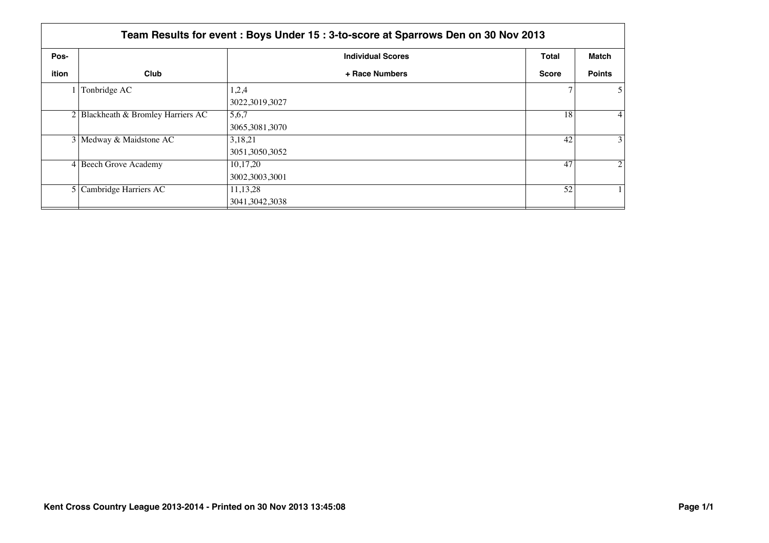|       | Team Results for event: Boys Under 15: 3-to-score at Sparrows Den on 30 Nov 2013 |                                |              |                  |  |  |
|-------|----------------------------------------------------------------------------------|--------------------------------|--------------|------------------|--|--|
| Pos-  |                                                                                  | <b>Individual Scores</b>       | Total        | Match            |  |  |
| ition | Club                                                                             | + Race Numbers                 | <b>Score</b> | <b>Points</b>    |  |  |
|       | Tonbridge AC                                                                     | 1,2,4<br>3022,3019,3027        |              | 5 <sup>1</sup>   |  |  |
|       | 2 Blackheath & Bromley Harriers AC                                               | 5,6,7<br>3065,3081,3070        | 18           | $\left 4\right $ |  |  |
|       | 3 Medway & Maidstone AC                                                          | 3,18,21<br>3051,3050,3052      | 42           | 3 <sup>1</sup>   |  |  |
|       | 4 Beech Grove Academy                                                            | 10,17,20<br>3002,3003,3001     | 47           | $\overline{2}$   |  |  |
|       | 5 Cambridge Harriers AC                                                          | 11, 13, 28<br>3041, 3042, 3038 | 52           |                  |  |  |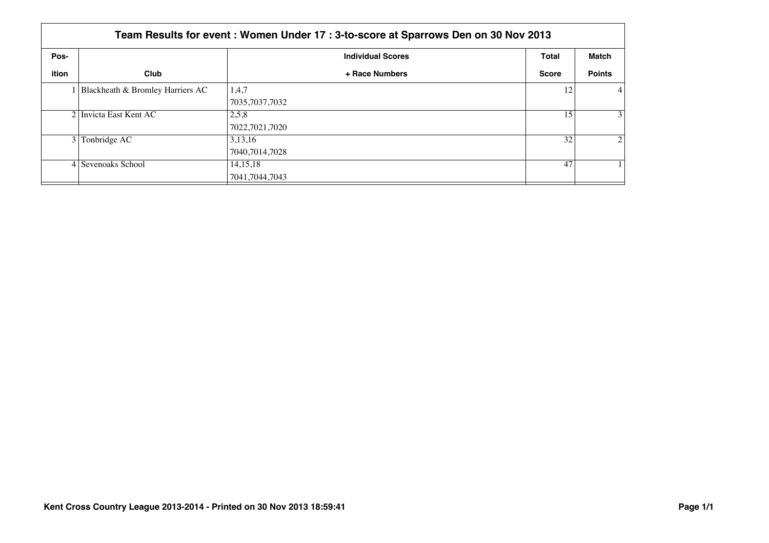|       | Team Results for event: Women Under 17: 3-to-score at Sparrows Den on 30 Nov 2013 |                          |              |                 |  |
|-------|-----------------------------------------------------------------------------------|--------------------------|--------------|-----------------|--|
| Pos-  |                                                                                   | <b>Individual Scores</b> | <b>Total</b> | Match           |  |
| ition | Club                                                                              | + Race Numbers           | <b>Score</b> | <b>Points</b>   |  |
|       | 1 Blackheath & Bromley Harriers AC                                                | 1,4,7                    | 12           | $\vert 4 \vert$ |  |
|       |                                                                                   | 7035,7037,7032           |              |                 |  |
|       | 2 Invicta East Kent AC                                                            | 2,5,8                    | 15           | 3 <sup>1</sup>  |  |
|       |                                                                                   | 7022,7021,7020           |              |                 |  |
| 3 I   | Tonbridge AC                                                                      | 3,13,16                  | 32           | $\overline{2}$  |  |
|       |                                                                                   | 7040,7014,7028           |              |                 |  |
|       | 4 Sevenoaks School                                                                | 14, 15, 18               | 47           |                 |  |
|       |                                                                                   | 7041,7044,7043           |              |                 |  |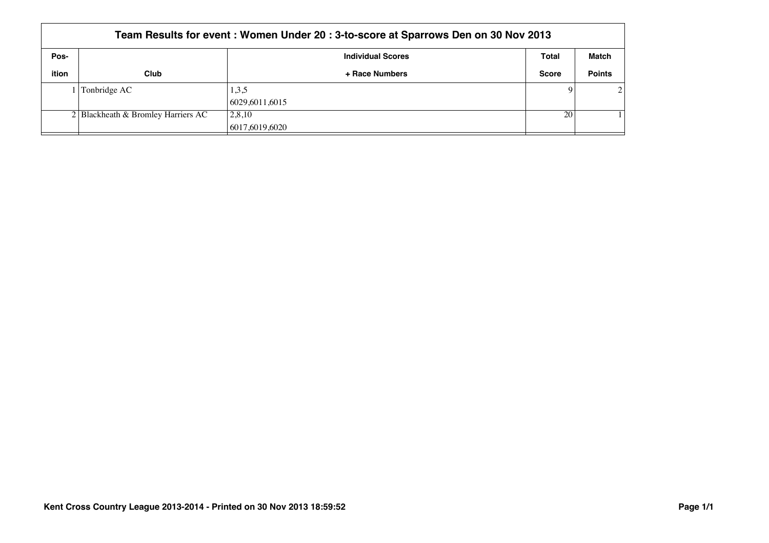| Team Results for event: Women Under 20: 3-to-score at Sparrows Den on 30 Nov 2013 |                                       |                          |              |               |  |
|-----------------------------------------------------------------------------------|---------------------------------------|--------------------------|--------------|---------------|--|
| Pos-                                                                              |                                       | Total                    | Match        |               |  |
| ition                                                                             | Club                                  | + Race Numbers           | <b>Score</b> | <b>Points</b> |  |
|                                                                                   | Tonbridge AC                          | 1,3,5<br> 6029,6011,6015 | $\mathbf Q$  | 2             |  |
|                                                                                   | $2 $ Blackheath & Bromley Harriers AC | 2,8,10<br>6017,6019,6020 | 20           |               |  |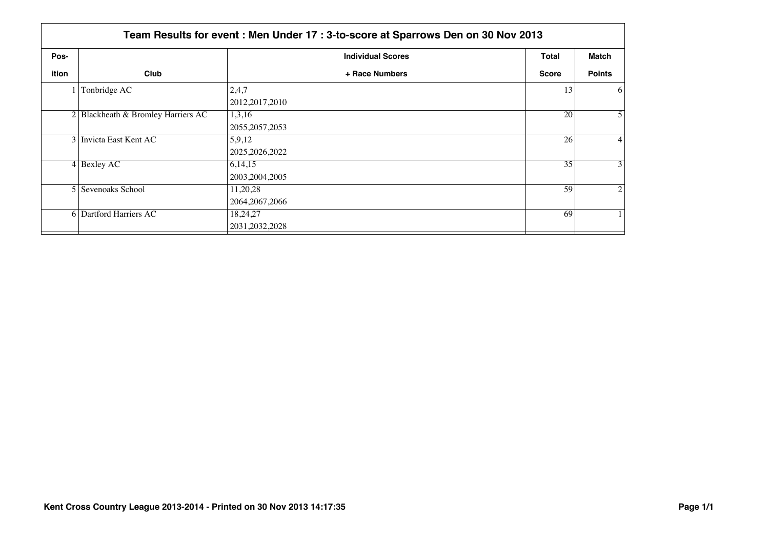|       | Team Results for event: Men Under 17: 3-to-score at Sparrows Den on 30 Nov 2013 |                              |              |                 |  |
|-------|---------------------------------------------------------------------------------|------------------------------|--------------|-----------------|--|
| Pos-  |                                                                                 | <b>Individual Scores</b>     | Total        | Match           |  |
| ition | Club                                                                            | + Race Numbers               | <b>Score</b> | <b>Points</b>   |  |
|       | Tonbridge AC                                                                    | 2,4,7<br>2012, 2017, 2010    | 13           | 6               |  |
|       | 2 Blackheath & Bromley Harriers AC                                              | 1,3,16<br>2055, 2057, 2053   | 20           | 5 <sup>1</sup>  |  |
|       | 3 Invicta East Kent AC                                                          | 5,9,12<br>2025, 2026, 2022   | 26           | $\vert 4 \vert$ |  |
|       | $4$ Bexley AC                                                                   | 6,14,15<br>2003, 2004, 2005  | 35           | 3 <sup>1</sup>  |  |
|       | 5 Sevenoaks School                                                              | 11,20,28<br>2064, 2067, 2066 | 59           | $\overline{2}$  |  |
|       | 6 Dartford Harriers AC                                                          | 18,24,27<br>2031, 2032, 2028 | 69           |                 |  |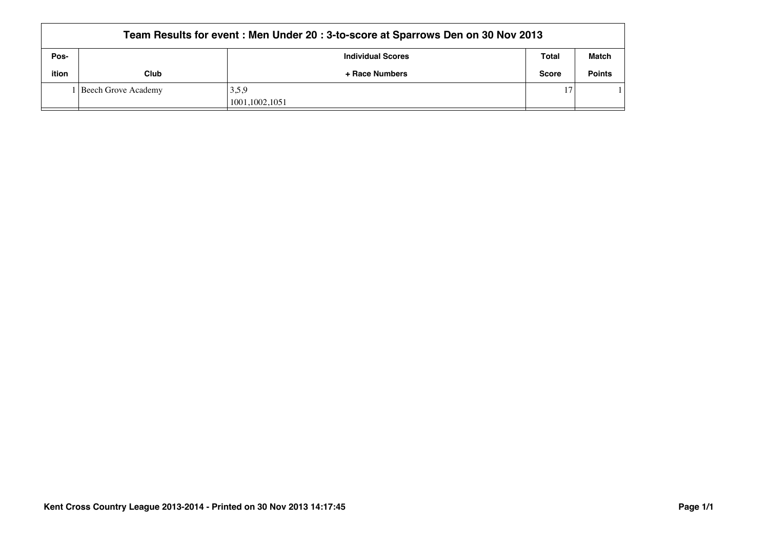|       | Team Results for event: Men Under 20: 3-to-score at Sparrows Den on 30 Nov 2013 |                                                   |              |               |  |  |
|-------|---------------------------------------------------------------------------------|---------------------------------------------------|--------------|---------------|--|--|
| Pos-  |                                                                                 | <b>Match</b><br>Total<br><b>Individual Scores</b> |              |               |  |  |
| ition | Club                                                                            | + Race Numbers                                    | <b>Score</b> | <b>Points</b> |  |  |
|       | l Beech Grove Academy                                                           | 3,5,9                                             | 17           |               |  |  |
|       |                                                                                 | 1001,1002,1051                                    |              |               |  |  |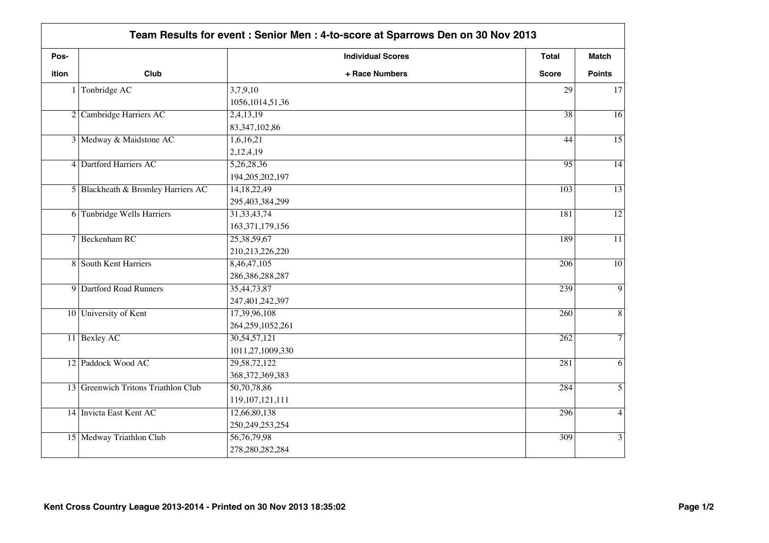|       | Team Results for event: Senior Men: 4-to-score at Sparrows Den on 30 Nov 2013 |                                            |                  |                 |
|-------|-------------------------------------------------------------------------------|--------------------------------------------|------------------|-----------------|
| Pos-  |                                                                               | <b>Individual Scores</b>                   | <b>Total</b>     | <b>Match</b>    |
| ition | Club                                                                          | + Race Numbers                             | <b>Score</b>     | <b>Points</b>   |
|       | $1$ Tonbridge AC                                                              | 3,7,9,10<br>1056, 1014, 51, 36             | 29               | 17              |
|       | 2 Cambridge Harriers AC                                                       | 2,4,13,19                                  | $\overline{38}$  | $\overline{16}$ |
|       | 3 Medway & Maidstone AC                                                       | 83, 347, 102, 86<br>1,6,16,21<br>2,12,4,19 | 44               | $\overline{15}$ |
|       | 4 Dartford Harriers AC                                                        | 5,26,28,36<br>194, 205, 202, 197           | $\overline{95}$  | $\overline{14}$ |
|       | 5 Blackheath & Bromley Harriers AC                                            | 14, 18, 22, 49<br>295,403,384,299          | 103              | $\overline{13}$ |
|       | 6 Tunbridge Wells Harriers                                                    | 31, 33, 43, 74<br>163, 371, 179, 156       | 181              | $\overline{12}$ |
|       | 7 Beckenham RC                                                                | 25, 38, 59, 67<br>210,213,226,220          | 189              | $\overline{11}$ |
|       | 8 South Kent Harriers                                                         | 8,46,47,105<br>286, 386, 288, 287          | $\overline{206}$ | $\overline{10}$ |
|       | 9 Dartford Road Runners                                                       | 35,44,73,87<br>247,401,242,397             | 239              | $\overline{9}$  |
|       | 10 University of Kent                                                         | 17,39,96,108<br>264,259,1052,261           | 260              | $\overline{8}$  |
|       | 11 Bexley AC                                                                  | 30,54,57,121<br>1011,27,1009,330           | 262              | $\overline{7}$  |
|       | 12 Paddock Wood AC                                                            | 29,58,72,122<br>368, 372, 369, 383         | 281              | $\overline{6}$  |
|       | 13 Greenwich Tritons Triathlon Club                                           | 50,70,78,86<br>119, 107, 121, 111          | 284              | $\overline{5}$  |
|       | 14 Invicta East Kent AC                                                       | 12,66,80,138<br>250, 249, 253, 254         | 296              | $\overline{4}$  |
|       | 15 Medway Triathlon Club                                                      | 56, 76, 79, 98<br>278,280,282,284          | 309              | $\overline{3}$  |
|       |                                                                               |                                            |                  |                 |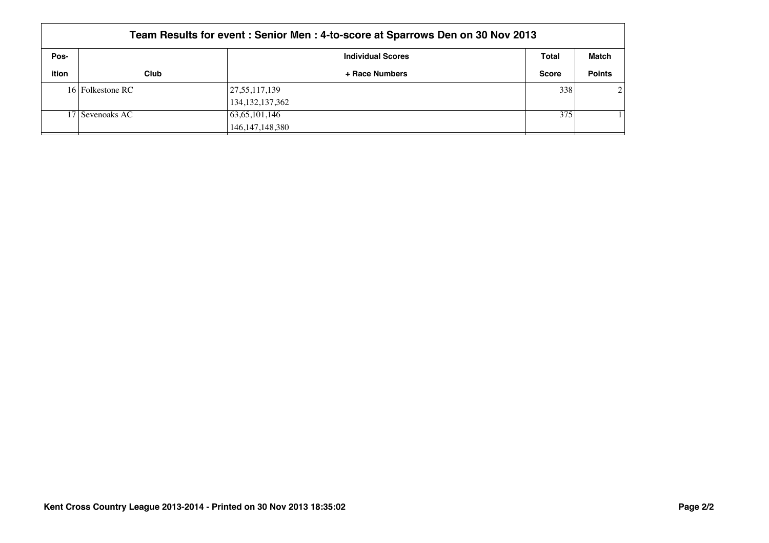|       | Team Results for event: Senior Men: 4-to-score at Sparrows Den on 30 Nov 2013 |                             |              |                |  |  |
|-------|-------------------------------------------------------------------------------|-----------------------------|--------------|----------------|--|--|
| Pos-  |                                                                               | <b>Individual Scores</b>    | Total        | Match          |  |  |
| ition | Club                                                                          | + Race Numbers              | <b>Score</b> | <b>Points</b>  |  |  |
|       | 16 Folkestone RC                                                              | 27,55,117,139               | 338          | $\overline{2}$ |  |  |
|       |                                                                               | 134, 132, 137, 362          |              |                |  |  |
|       | 17 Sevenoaks AC                                                               | $\vert 63,65,101,146 \vert$ | 375          |                |  |  |
|       |                                                                               | 146, 147, 148, 380          |              |                |  |  |